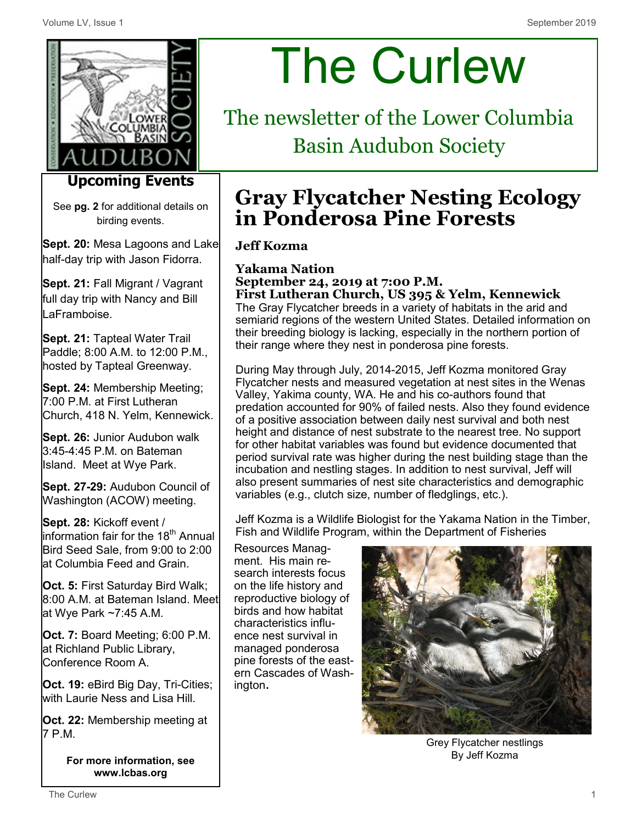

## **Upcoming Events**

See **pg. 2** for additional details on birding events.

**Sept. 20:** Mesa Lagoons and Lake half-day trip with Jason Fidorra.

**Sept. 21:** Fall Migrant / Vagrant full day trip with Nancy and Bill LaFramboise.

**Sept. 21:** Tapteal Water Trail Paddle; 8:00 A.M. to 12:00 P.M., hosted by Tapteal Greenway.

**Sept. 24:** Membership Meeting; 7:00 P.M. at First Lutheran Church, 418 N. Yelm, Kennewick.

**Sept. 26:** Junior Audubon walk 3:45-4:45 P.M. on Bateman Island. Meet at Wye Park.

**Sept. 27-29:** Audubon Council of Washington (ACOW) meeting.

**Sept. 28:** Kickoff event /  $\,$  information fair for the 18 $^{\rm th}$  Annual Bird Seed Sale, from 9:00 to 2:00 at Columbia Feed and Grain.

**Oct. 5:** First Saturday Bird Walk; 8:00 A.M. at Bateman Island. Meet at Wye Park ~7:45 A.M.

**Oct. 7:** Board Meeting; 6:00 P.M. at Richland Public Library, Conference Room A.

**Oct. 19:** eBird Big Day, Tri-Cities; with Laurie Ness and Lisa Hill.

**Oct. 22:** Membership meeting at 7 P.M.

> **For more information, see www.lcbas.org**

# The Curlew

The newsletter of the Lower Columbia Basin Audubon Society

# **Gray Flycatcher Nesting Ecology in Ponderosa Pine Forests**

## **Jeff Kozma**

**Yakama Nation September 24, 2019 at 7:00 P.M. First Lutheran Church, US 395 & Yelm, Kennewick**  The Gray Flycatcher breeds in a variety of habitats in the arid and semiarid regions of the western United States. Detailed information on their breeding biology is lacking, especially in the northern portion of their range where they nest in ponderosa pine forests.

During May through July, 2014-2015, Jeff Kozma monitored Gray Flycatcher nests and measured vegetation at nest sites in the Wenas Valley, Yakima county, WA. He and his co-authors found that predation accounted for 90% of failed nests. Also they found evidence of a positive association between daily nest survival and both nest height and distance of nest substrate to the nearest tree. No support for other habitat variables was found but evidence documented that period survival rate was higher during the nest building stage than the incubation and nestling stages. In addition to nest survival, Jeff will also present summaries of nest site characteristics and demographic variables (e.g., clutch size, number of fledglings, etc.).

Jeff Kozma is a Wildlife Biologist for the Yakama Nation in the Timber, Fish and Wildlife Program, within the Department of Fisheries

Resources Managment. His main research interests focus on the life history and reproductive biology of birds and how habitat characteristics influence nest survival in managed ponderosa pine forests of the eastern Cascades of Washington.



Grey Flycatcher nestlings By Jeff Kozma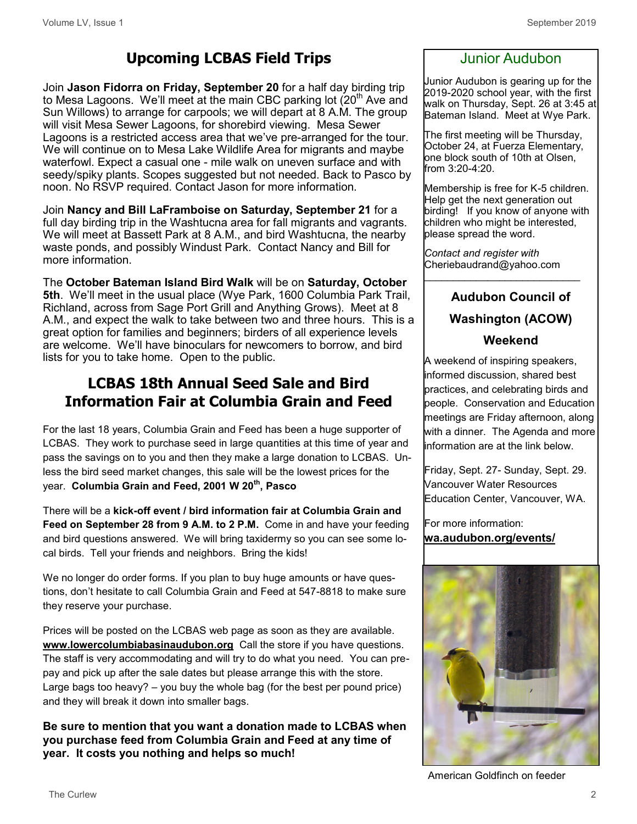## **Upcoming LCBAS Field Trips**

Join **Jason Fidorra on Friday, September 20** for a half day birding trip to Mesa Lagoons. We'll meet at the main CBC parking lot  $(20<sup>th</sup>$  Ave and Sun Willows) to arrange for carpools; we will depart at 8 A.M. The group will visit Mesa Sewer Lagoons, for shorebird viewing. Mesa Sewer Lagoons is a restricted access area that we've pre-arranged for the tour. We will continue on to Mesa Lake Wildlife Area for migrants and maybe waterfowl. Expect a casual one - mile walk on uneven surface and with seedy/spiky plants. Scopes suggested but not needed. Back to Pasco by noon. No RSVP required. Contact Jason for more information.

Join **Nancy and Bill LaFramboise on Saturday, September 21** for a full day birding trip in the Washtucna area for fall migrants and vagrants. We will meet at Bassett Park at 8 A.M., and bird Washtucna, the nearby waste ponds, and possibly Windust Park. Contact Nancy and Bill for more information.

The **October Bateman Island Bird Walk** will be on **Saturday, October 5th**. We'll meet in the usual place (Wye Park, 1600 Columbia Park Trail, Richland, across from Sage Port Grill and Anything Grows). Meet at 8 A.M., and expect the walk to take between two and three hours. This is a great option for families and beginners; birders of all experience levels are welcome. We'll have binoculars for newcomers to borrow, and bird lists for you to take home. Open to the public.

## **LCBAS 18th Annual Seed Sale and Bird Information Fair at Columbia Grain and Feed**

For the last 18 years, Columbia Grain and Feed has been a huge supporter of LCBAS. They work to purchase seed in large quantities at this time of year and pass the savings on to you and then they make a large donation to LCBAS. Unless the bird seed market changes, this sale will be the lowest prices for the year. **Columbia Grain and Feed, 2001 W 20th, Pasco** 

There will be a **kick-off event / bird information fair at Columbia Grain and Feed on September 28 from 9 A.M. to 2 P.M.** Come in and have your feeding and bird questions answered. We will bring taxidermy so you can see some local birds. Tell your friends and neighbors. Bring the kids!

We no longer do order forms. If you plan to buy huge amounts or have questions, don't hesitate to call Columbia Grain and Feed at 547-8818 to make sure they reserve your purchase.

Prices will be posted on the LCBAS web page as soon as they are available. **[www.lowercolumbiabasinaudubon.org](http://www.lowercolumbiabasinaudubon.org)** Call the store if you have questions. The staff is very accommodating and will try to do what you need. You can prepay and pick up after the sale dates but please arrange this with the store. Large bags too heavy? – you buy the whole bag (for the best per pound price) and they will break it down into smaller bags.

**Be sure to mention that you want a donation made to LCBAS when you purchase feed from Columbia Grain and Feed at any time of year. It costs you nothing and helps so much!**

### Junior Audubon

Junior Audubon is gearing up for the 2019-2020 school year, with the first walk on Thursday, Sept. 26 at 3:45 at Bateman Island. Meet at Wye Park.

The first meeting will be Thursday, October 24, at Fuerza Elementary, one block south of 10th at Olsen, from 3:20-4:20.

Membership is free for K-5 children. Help get the next generation out birding! If you know of anyone with children who might be interested, please spread the word.

*Contact and register with*  Cheriebaudrand@yahoo.com  $\mathcal{L}_\text{max}$  and  $\mathcal{L}_\text{max}$  and  $\mathcal{L}_\text{max}$  and  $\mathcal{L}_\text{max}$ 

## **Audubon Council of Washington (ACOW)**

#### **Weekend**

A weekend of inspiring speakers, informed discussion, shared best practices, and celebrating birds and people. Conservation and Education meetings are Friday afternoon, along with a dinner. The Agenda and more information are at the link below.

Friday, Sept. 27- Sunday, Sept. 29. Vancouver Water Resources Education Center, Vancouver, WA.

For more information: **wa.audubon.org/events/**



American Goldfinch on feeder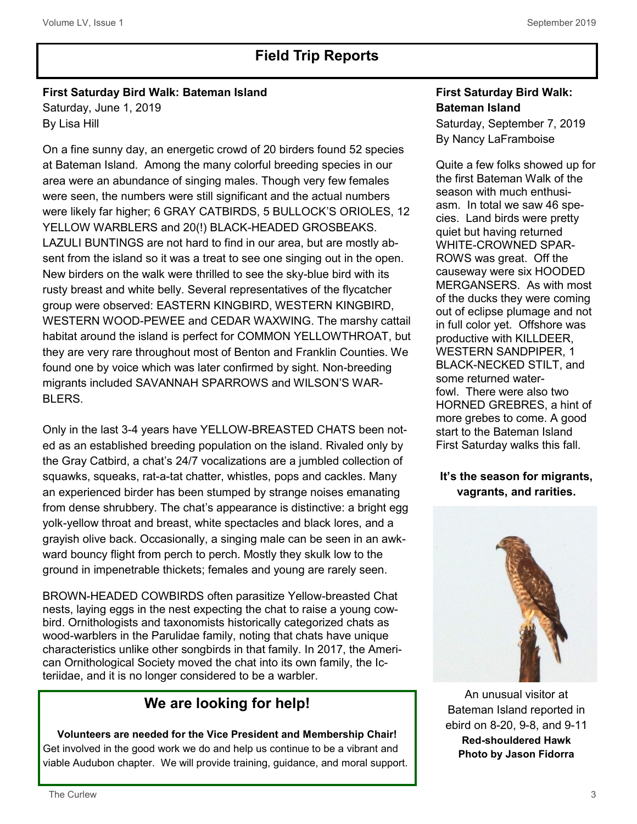## **Field Trip Reports**

#### **First Saturday Bird Walk: Bateman Island** Saturday, June 1, 2019 By Lisa Hill

On a fine sunny day, an energetic crowd of 20 birders found 52 species at Bateman Island. Among the many colorful breeding species in our area were an abundance of singing males. Though very few females were seen, the numbers were still significant and the actual numbers were likely far higher; 6 GRAY CATBIRDS, 5 BULLOCK'S ORIOLES, 12 YELLOW WARBLERS and 20(!) BLACK-HEADED GROSBEAKS. LAZULI BUNTINGS are not hard to find in our area, but are mostly absent from the island so it was a treat to see one singing out in the open. New birders on the walk were thrilled to see the sky-blue bird with its rusty breast and white belly. Several representatives of the flycatcher group were observed: EASTERN KINGBIRD, WESTERN KINGBIRD, WESTERN WOOD-PEWEE and CEDAR WAXWING. The marshy cattail habitat around the island is perfect for COMMON YELLOWTHROAT, but they are very rare throughout most of Benton and Franklin Counties. We found one by voice which was later confirmed by sight. Non-breeding migrants included SAVANNAH SPARROWS and WILSON'S WAR-BLERS.

Only in the last 3-4 years have YELLOW-BREASTED CHATS been noted as an established breeding population on the island. Rivaled only by the Gray Catbird, a chat's 24/7 vocalizations are a jumbled collection of squawks, squeaks, rat-a-tat chatter, whistles, pops and cackles. Many an experienced birder has been stumped by strange noises emanating from dense shrubbery. The chat's appearance is distinctive: a bright egg yolk-yellow throat and breast, white spectacles and black lores, and a grayish olive back. Occasionally, a singing male can be seen in an awkward bouncy flight from perch to perch. Mostly they skulk low to the ground in impenetrable thickets; females and young are rarely seen.

BROWN-HEADED COWBIRDS often parasitize Yellow-breasted Chat nests, laying eggs in the nest expecting the chat to raise a young cowbird. Ornithologists and taxonomists historically categorized chats as wood-warblers in the Parulidae family, noting that chats have unique characteristics unlike other songbirds in that family. In 2017, the American Ornithological Society moved the chat into its own family, the Icteriidae, and it is no longer considered to be a warbler.

## **We are looking for help!**

#### **Volunteers are needed for the Vice President and Membership Chair!** Get involved in the good work we do and help us continue to be a vibrant and viable Audubon chapter. We will provide training, guidance, and moral support.

#### **First Saturday Bird Walk: Bateman Island**

Saturday, September 7, 2019 By Nancy LaFramboise

Quite a few folks showed up for the first Bateman Walk of the season with much enthusiasm. In total we saw 46 species. Land birds were pretty quiet but having returned WHITE-CROWNED SPAR-ROWS was great. Off the causeway were six HOODED MERGANSERS. As with most of the ducks they were coming out of eclipse plumage and not in full color yet. Offshore was productive with KILLDEER, WESTERN SANDPIPER, 1 BLACK-NECKED STILT, and some returned waterfowl. There were also two HORNED GREBRES, a hint of more grebes to come. A good start to the Bateman Island First Saturday walks this fall.

#### **It's the season for migrants, vagrants, and rarities.**



An unusual visitor at Bateman Island reported in ebird on 8-20, 9-8, and 9-11 **Red-shouldered Hawk Photo by Jason Fidorra**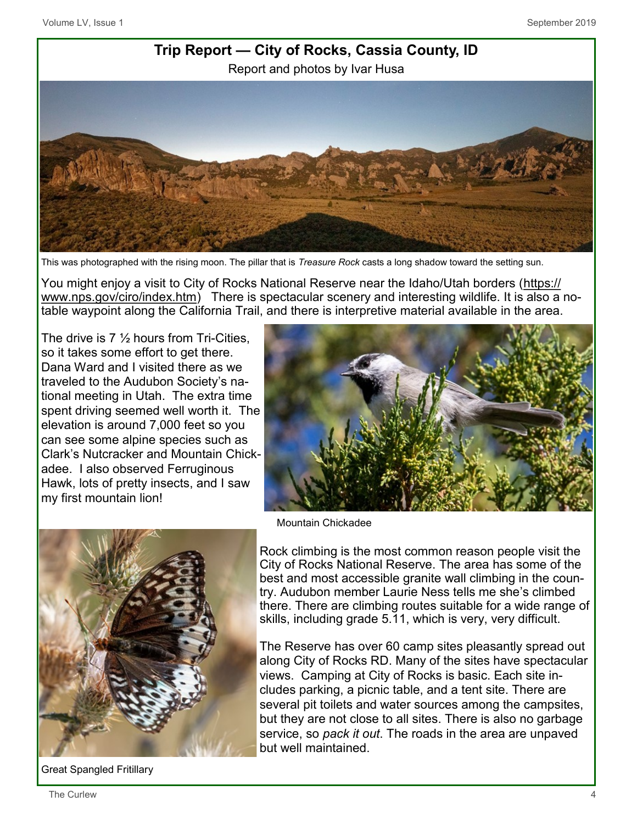

This was photographed with the rising moon. The pillar that is *Treasure Rock* casts a long shadow toward the setting sun.

You might enjoy a visit to City of Rocks National Reserve near the Idaho/Utah borders [\(https://](https://www.nps.gov/ciro/index.htm) [www.nps.gov/ciro/index.htm\)](https://www.nps.gov/ciro/index.htm) There is spectacular scenery and interesting wildlife. It is also a notable waypoint along the California Trail, and there is interpretive material available in the area.

The drive is 7 ½ hours from Tri-Cities, so it takes some effort to get there. Dana Ward and I visited there as we traveled to the Audubon Society's national meeting in Utah. The extra time spent driving seemed well worth it. The elevation is around 7,000 feet so you can see some alpine species such as Clark's Nutcracker and Mountain Chickadee. I also observed Ferruginous Hawk, lots of pretty insects, and I saw my first mountain lion!





Rock climbing is the most common reason people visit the City of Rocks National Reserve. The area has some of the best and most accessible granite wall climbing in the country. Audubon member Laurie Ness tells me she's climbed there. There are climbing routes suitable for a wide range of skills, including grade 5.11, which is very, very difficult.

The Reserve has over 60 camp sites pleasantly spread out along City of Rocks RD. Many of the sites have spectacular views. Camping at City of Rocks is basic. Each site includes parking, a picnic table, and a tent site. There are several pit toilets and water sources among the campsites, but they are not close to all sites. There is also no garbage service, so *pack it out*. The roads in the area are unpaved but well maintained.

Great Spangled Fritillary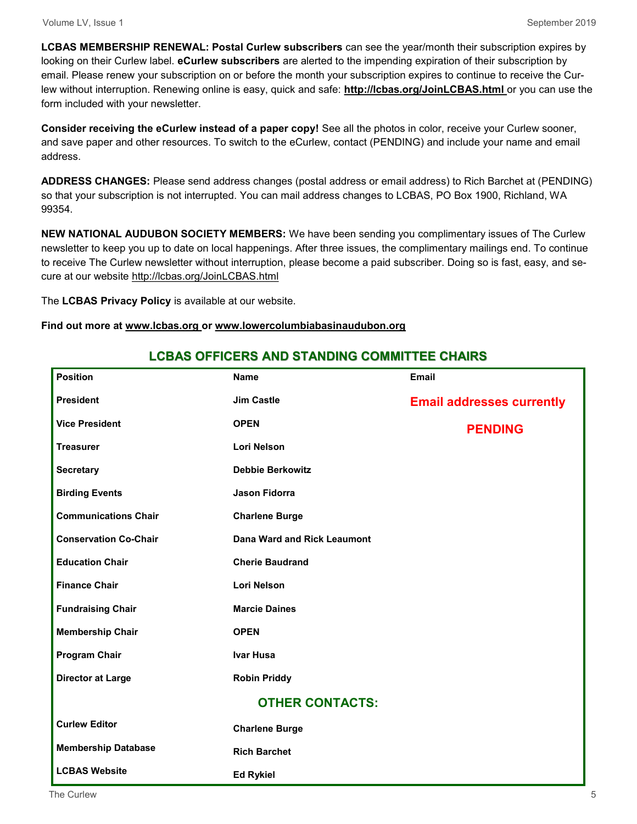**LCBAS MEMBERSHIP RENEWAL: Postal Curlew subscribers** can see the year/month their subscription expires by looking on their Curlew label. **eCurlew subscribers** are alerted to the impending expiration of their subscription by email. Please renew your subscription on or before the month your subscription expires to continue to receive the Curlew without interruption. Renewing online is easy, quick and safe: **http://lcbas.org/JoinLCBAS.html** or you can use the form included with your newsletter.

**Consider receiving the eCurlew instead of a paper copy!** See all the photos in color, receive your Curlew sooner, and save paper and other resources. To switch to the eCurlew, contact (PENDING) and include your name and email address.

**ADDRESS CHANGES:** Please send address changes (postal address or email address) to Rich Barchet at (PENDING) so that your subscription is not interrupted. You can mail address changes to LCBAS, PO Box 1900, Richland, WA 99354.

**NEW NATIONAL AUDUBON SOCIETY MEMBERS:** We have been sending you complimentary issues of The Curlew newsletter to keep you up to date on local happenings. After three issues, the complimentary mailings end. To continue to receive The Curlew newsletter without interruption, please become a paid subscriber. Doing so is fast, easy, and secure at our website http://lcbas.org/JoinLCBAS.html

The **LCBAS Privacy Policy** is available at our website.

#### **Find out more at www.lcbas.org or www.lowercolumbiabasinaudubon.org**

| <b>Position</b>              | <b>Name</b>                 | <b>Email</b>                     |
|------------------------------|-----------------------------|----------------------------------|
| <b>President</b>             | <b>Jim Castle</b>           | <b>Email addresses currently</b> |
| <b>Vice President</b>        | <b>OPEN</b>                 | <b>PENDING</b>                   |
| <b>Treasurer</b>             | <b>Lori Nelson</b>          |                                  |
| <b>Secretary</b>             | <b>Debbie Berkowitz</b>     |                                  |
| <b>Birding Events</b>        | <b>Jason Fidorra</b>        |                                  |
| <b>Communications Chair</b>  | <b>Charlene Burge</b>       |                                  |
| <b>Conservation Co-Chair</b> | Dana Ward and Rick Leaumont |                                  |
| <b>Education Chair</b>       | <b>Cherie Baudrand</b>      |                                  |
| <b>Finance Chair</b>         | <b>Lori Nelson</b>          |                                  |
| <b>Fundraising Chair</b>     | <b>Marcie Daines</b>        |                                  |
| <b>Membership Chair</b>      | <b>OPEN</b>                 |                                  |
| <b>Program Chair</b>         | <b>Ivar Husa</b>            |                                  |
| <b>Director at Large</b>     | <b>Robin Priddy</b>         |                                  |
|                              | <b>OTHER CONTACTS:</b>      |                                  |
| <b>Curlew Editor</b>         | <b>Charlene Burge</b>       |                                  |
| <b>Membership Database</b>   | <b>Rich Barchet</b>         |                                  |
| <b>LCBAS Website</b>         | <b>Ed Rykiel</b>            |                                  |

#### **LCBAS OFFICERS AND STANDING COMMITTEE CHAIRS**